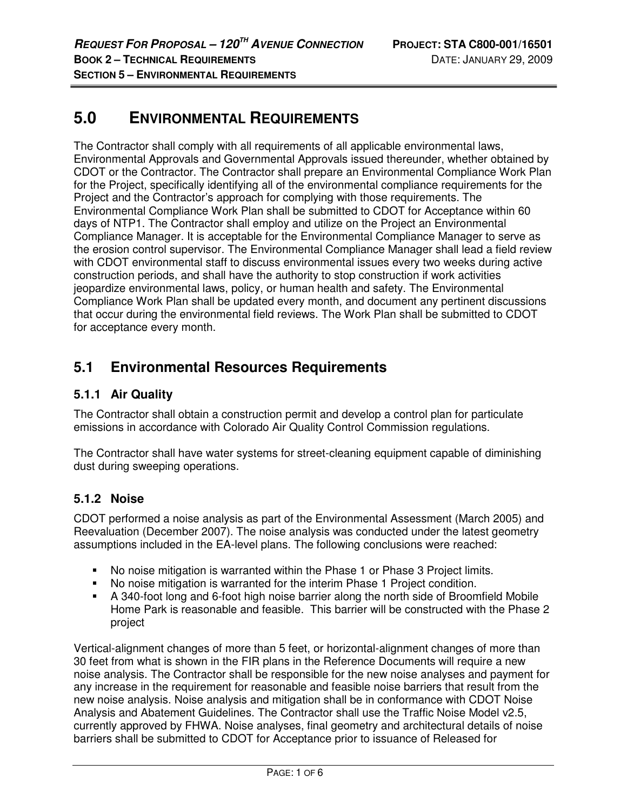# **5.0 ENVIRONMENTAL REQUIREMENTS**

The Contractor shall comply with all requirements of all applicable environmental laws, Environmental Approvals and Governmental Approvals issued thereunder, whether obtained by CDOT or the Contractor. The Contractor shall prepare an Environmental Compliance Work Plan for the Project, specifically identifying all of the environmental compliance requirements for the Project and the Contractor's approach for complying with those requirements. The Environmental Compliance Work Plan shall be submitted to CDOT for Acceptance within 60 days of NTP1. The Contractor shall employ and utilize on the Project an Environmental Compliance Manager. It is acceptable for the Environmental Compliance Manager to serve as the erosion control supervisor. The Environmental Compliance Manager shall lead a field review with CDOT environmental staff to discuss environmental issues every two weeks during active construction periods, and shall have the authority to stop construction if work activities jeopardize environmental laws, policy, or human health and safety. The Environmental Compliance Work Plan shall be updated every month, and document any pertinent discussions that occur during the environmental field reviews. The Work Plan shall be submitted to CDOT for acceptance every month.

# **5.1 Environmental Resources Requirements**

### **5.1.1 Air Quality**

The Contractor shall obtain a construction permit and develop a control plan for particulate emissions in accordance with Colorado Air Quality Control Commission regulations.

The Contractor shall have water systems for street-cleaning equipment capable of diminishing dust during sweeping operations.

#### **5.1.2 Noise**

CDOT performed a noise analysis as part of the Environmental Assessment (March 2005) and Reevaluation (December 2007). The noise analysis was conducted under the latest geometry assumptions included in the EA-level plans. The following conclusions were reached:

- No noise mitigation is warranted within the Phase 1 or Phase 3 Project limits.
- No noise mitigation is warranted for the interim Phase 1 Project condition.
- A 340-foot long and 6-foot high noise barrier along the north side of Broomfield Mobile Home Park is reasonable and feasible. This barrier will be constructed with the Phase 2 project

Vertical-alignment changes of more than 5 feet, or horizontal-alignment changes of more than 30 feet from what is shown in the FIR plans in the Reference Documents will require a new noise analysis. The Contractor shall be responsible for the new noise analyses and payment for any increase in the requirement for reasonable and feasible noise barriers that result from the new noise analysis. Noise analysis and mitigation shall be in conformance with CDOT Noise Analysis and Abatement Guidelines. The Contractor shall use the Traffic Noise Model v2.5, currently approved by FHWA. Noise analyses, final geometry and architectural details of noise barriers shall be submitted to CDOT for Acceptance prior to issuance of Released for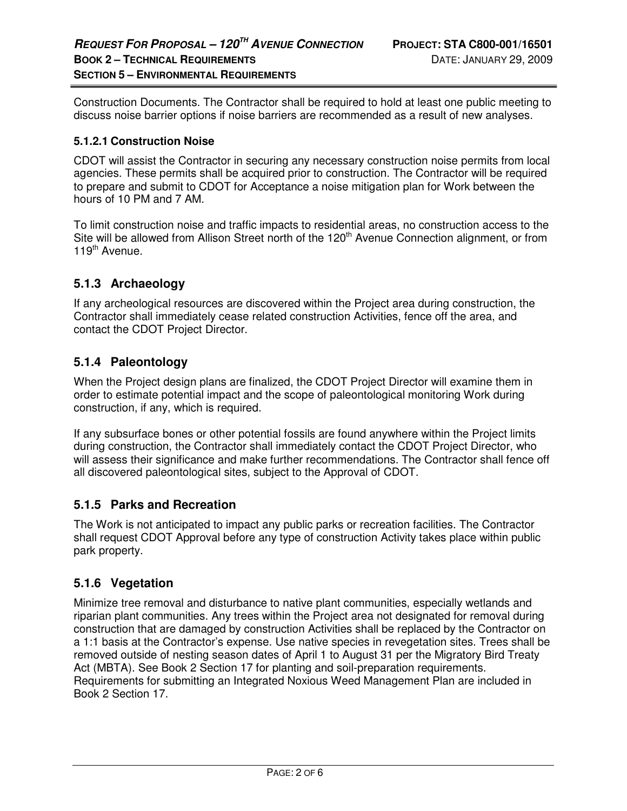Construction Documents. The Contractor shall be required to hold at least one public meeting to discuss noise barrier options if noise barriers are recommended as a result of new analyses.

#### **5.1.2.1 Construction Noise**

CDOT will assist the Contractor in securing any necessary construction noise permits from local agencies. These permits shall be acquired prior to construction. The Contractor will be required to prepare and submit to CDOT for Acceptance a noise mitigation plan for Work between the hours of 10 PM and 7 AM.

To limit construction noise and traffic impacts to residential areas, no construction access to the Site will be allowed from Allison Street north of the 120<sup>th</sup> Avenue Connection alignment, or from 119<sup>th</sup> Avenue.

#### **5.1.3 Archaeology**

If any archeological resources are discovered within the Project area during construction, the Contractor shall immediately cease related construction Activities, fence off the area, and contact the CDOT Project Director.

#### **5.1.4 Paleontology**

When the Project design plans are finalized, the CDOT Project Director will examine them in order to estimate potential impact and the scope of paleontological monitoring Work during construction, if any, which is required.

If any subsurface bones or other potential fossils are found anywhere within the Project limits during construction, the Contractor shall immediately contact the CDOT Project Director, who will assess their significance and make further recommendations. The Contractor shall fence off all discovered paleontological sites, subject to the Approval of CDOT.

#### **5.1.5 Parks and Recreation**

The Work is not anticipated to impact any public parks or recreation facilities. The Contractor shall request CDOT Approval before any type of construction Activity takes place within public park property.

#### **5.1.6 Vegetation**

Minimize tree removal and disturbance to native plant communities, especially wetlands and riparian plant communities. Any trees within the Project area not designated for removal during construction that are damaged by construction Activities shall be replaced by the Contractor on a 1:1 basis at the Contractor's expense. Use native species in revegetation sites. Trees shall be removed outside of nesting season dates of April 1 to August 31 per the Migratory Bird Treaty Act (MBTA). See Book 2 Section 17 for planting and soil-preparation requirements. Requirements for submitting an Integrated Noxious Weed Management Plan are included in Book 2 Section 17.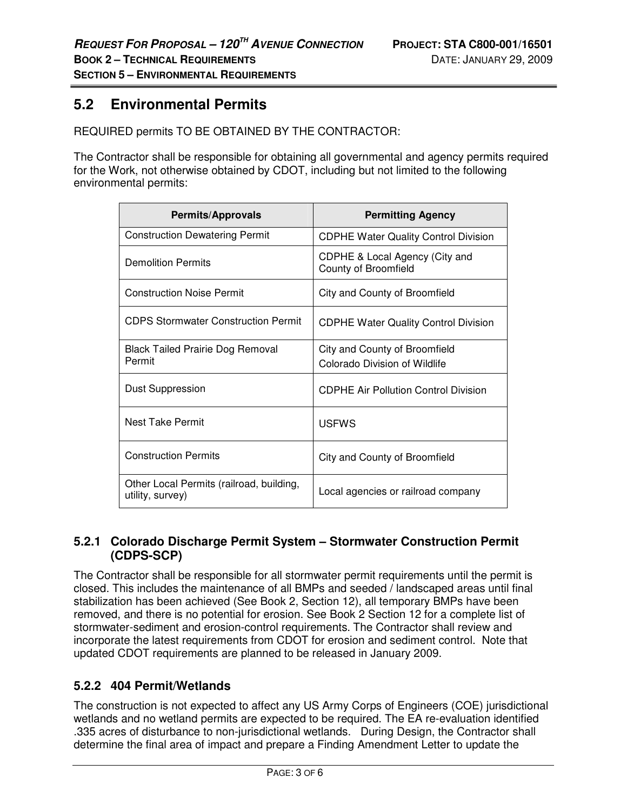## **5.2 Environmental Permits**

REQUIRED permits TO BE OBTAINED BY THE CONTRACTOR:

The Contractor shall be responsible for obtaining all governmental and agency permits required for the Work, not otherwise obtained by CDOT, including but not limited to the following environmental permits:

| Permits/Approvals                                            | <b>Permitting Agency</b>                                       |
|--------------------------------------------------------------|----------------------------------------------------------------|
| <b>Construction Dewatering Permit</b>                        | <b>CDPHE Water Quality Control Division</b>                    |
| <b>Demolition Permits</b>                                    | CDPHE & Local Agency (City and<br>County of Broomfield         |
| <b>Construction Noise Permit</b>                             | City and County of Broomfield                                  |
| <b>CDPS Stormwater Construction Permit</b>                   | <b>CDPHE Water Quality Control Division</b>                    |
| <b>Black Tailed Prairie Dog Removal</b><br>Permit            | City and County of Broomfield<br>Colorado Division of Wildlife |
| <b>Dust Suppression</b>                                      | <b>CDPHE Air Pollution Control Division</b>                    |
| Nest Take Permit                                             | <b>USEWS</b>                                                   |
| <b>Construction Permits</b>                                  | City and County of Broomfield                                  |
| Other Local Permits (railroad, building,<br>utility, survey) | Local agencies or railroad company                             |

#### **5.2.1 Colorado Discharge Permit System – Stormwater Construction Permit (CDPS-SCP)**

The Contractor shall be responsible for all stormwater permit requirements until the permit is closed. This includes the maintenance of all BMPs and seeded / landscaped areas until final stabilization has been achieved (See Book 2, Section 12), all temporary BMPs have been removed, and there is no potential for erosion. See Book 2 Section 12 for a complete list of stormwater-sediment and erosion-control requirements. The Contractor shall review and incorporate the latest requirements from CDOT for erosion and sediment control. Note that updated CDOT requirements are planned to be released in January 2009.

#### **5.2.2 404 Permit/Wetlands**

The construction is not expected to affect any US Army Corps of Engineers (COE) jurisdictional wetlands and no wetland permits are expected to be required. The EA re-evaluation identified .335 acres of disturbance to non-jurisdictional wetlands. During Design, the Contractor shall determine the final area of impact and prepare a Finding Amendment Letter to update the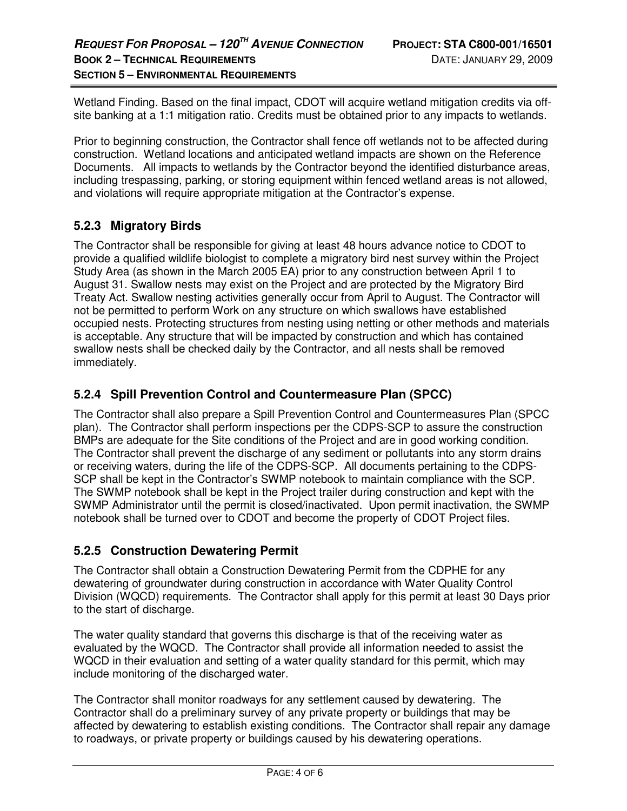Wetland Finding. Based on the final impact, CDOT will acquire wetland mitigation credits via offsite banking at a 1:1 mitigation ratio. Credits must be obtained prior to any impacts to wetlands.

Prior to beginning construction, the Contractor shall fence off wetlands not to be affected during construction. Wetland locations and anticipated wetland impacts are shown on the Reference Documents. All impacts to wetlands by the Contractor beyond the identified disturbance areas, including trespassing, parking, or storing equipment within fenced wetland areas is not allowed, and violations will require appropriate mitigation at the Contractor's expense.

### **5.2.3 Migratory Birds**

The Contractor shall be responsible for giving at least 48 hours advance notice to CDOT to provide a qualified wildlife biologist to complete a migratory bird nest survey within the Project Study Area (as shown in the March 2005 EA) prior to any construction between April 1 to August 31. Swallow nests may exist on the Project and are protected by the Migratory Bird Treaty Act. Swallow nesting activities generally occur from April to August. The Contractor will not be permitted to perform Work on any structure on which swallows have established occupied nests. Protecting structures from nesting using netting or other methods and materials is acceptable. Any structure that will be impacted by construction and which has contained swallow nests shall be checked daily by the Contractor, and all nests shall be removed immediately.

#### **5.2.4 Spill Prevention Control and Countermeasure Plan (SPCC)**

The Contractor shall also prepare a Spill Prevention Control and Countermeasures Plan (SPCC plan). The Contractor shall perform inspections per the CDPS-SCP to assure the construction BMPs are adequate for the Site conditions of the Project and are in good working condition. The Contractor shall prevent the discharge of any sediment or pollutants into any storm drains or receiving waters, during the life of the CDPS-SCP. All documents pertaining to the CDPS-SCP shall be kept in the Contractor's SWMP notebook to maintain compliance with the SCP. The SWMP notebook shall be kept in the Project trailer during construction and kept with the SWMP Administrator until the permit is closed/inactivated. Upon permit inactivation, the SWMP notebook shall be turned over to CDOT and become the property of CDOT Project files.

#### **5.2.5 Construction Dewatering Permit**

The Contractor shall obtain a Construction Dewatering Permit from the CDPHE for any dewatering of groundwater during construction in accordance with Water Quality Control Division (WQCD) requirements. The Contractor shall apply for this permit at least 30 Days prior to the start of discharge.

The water quality standard that governs this discharge is that of the receiving water as evaluated by the WQCD. The Contractor shall provide all information needed to assist the WQCD in their evaluation and setting of a water quality standard for this permit, which may include monitoring of the discharged water.

The Contractor shall monitor roadways for any settlement caused by dewatering. The Contractor shall do a preliminary survey of any private property or buildings that may be affected by dewatering to establish existing conditions. The Contractor shall repair any damage to roadways, or private property or buildings caused by his dewatering operations.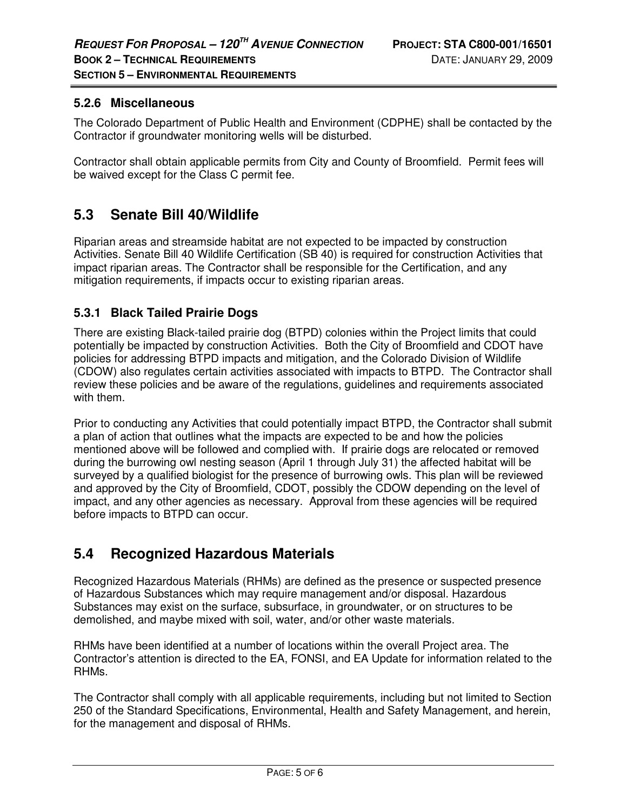#### **5.2.6 Miscellaneous**

The Colorado Department of Public Health and Environment (CDPHE) shall be contacted by the Contractor if groundwater monitoring wells will be disturbed.

Contractor shall obtain applicable permits from City and County of Broomfield. Permit fees will be waived except for the Class C permit fee.

## **5.3 Senate Bill 40/Wildlife**

Riparian areas and streamside habitat are not expected to be impacted by construction Activities. Senate Bill 40 Wildlife Certification (SB 40) is required for construction Activities that impact riparian areas. The Contractor shall be responsible for the Certification, and any mitigation requirements, if impacts occur to existing riparian areas.

#### **5.3.1 Black Tailed Prairie Dogs**

There are existing Black-tailed prairie dog (BTPD) colonies within the Project limits that could potentially be impacted by construction Activities. Both the City of Broomfield and CDOT have policies for addressing BTPD impacts and mitigation, and the Colorado Division of Wildlife (CDOW) also regulates certain activities associated with impacts to BTPD. The Contractor shall review these policies and be aware of the regulations, guidelines and requirements associated with them.

Prior to conducting any Activities that could potentially impact BTPD, the Contractor shall submit a plan of action that outlines what the impacts are expected to be and how the policies mentioned above will be followed and complied with. If prairie dogs are relocated or removed during the burrowing owl nesting season (April 1 through July 31) the affected habitat will be surveyed by a qualified biologist for the presence of burrowing owls. This plan will be reviewed and approved by the City of Broomfield, CDOT, possibly the CDOW depending on the level of impact, and any other agencies as necessary. Approval from these agencies will be required before impacts to BTPD can occur.

## **5.4 Recognized Hazardous Materials**

Recognized Hazardous Materials (RHMs) are defined as the presence or suspected presence of Hazardous Substances which may require management and/or disposal. Hazardous Substances may exist on the surface, subsurface, in groundwater, or on structures to be demolished, and maybe mixed with soil, water, and/or other waste materials.

RHMs have been identified at a number of locations within the overall Project area. The Contractor's attention is directed to the EA, FONSI, and EA Update for information related to the RHMs.

The Contractor shall comply with all applicable requirements, including but not limited to Section 250 of the Standard Specifications, Environmental, Health and Safety Management, and herein, for the management and disposal of RHMs.